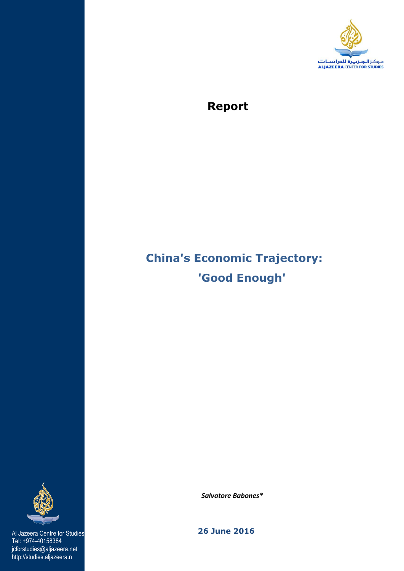

# **Report**

# **China's Economic Trajectory: 'Good Enough'**



Tel: +974-40158384 jcforstudies@aljazeera.net http://studies.aljazeera.n

 *Salvatore Babones\** 

Al Jazeera Centre for Studies **26 June 2016**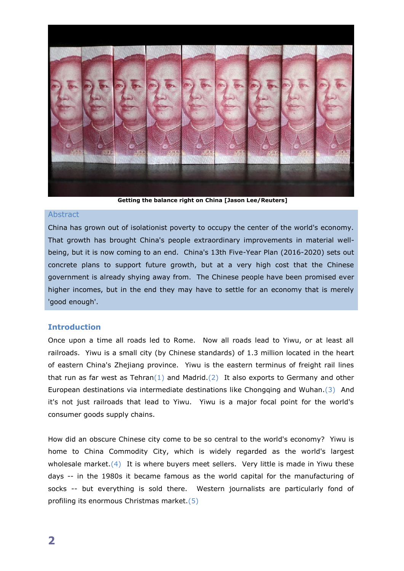

**Getting the balance right on China [Jason Lee/Reuters]**

#### **Abstract**

China has grown out of isolationist poverty to occupy the center of the world's economy. That growth has brought China's people extraordinary improvements in material wellbeing, but it is now coming to an end. China's 13th Five-Year Plan (2016-2020) sets out concrete plans to support future growth, but at a very high cost that the Chinese government is already shying away from. The Chinese people have been promised ever higher incomes, but in the end they may have to settle for an economy that is merely 'good enough'.

## **Introduction**

Once upon a time all roads led to Rome. Now all roads lead to Yiwu, or at least all railroads. Yiwu is a small city (by Chinese standards) of 1.3 million located in the heart of eastern China's Zhejiang province. Yiwu is the eastern terminus of freight rail lines that run as far west as Tehran(1) and Madrid.(2) It also exports to Germany and other European destinations via intermediate destinations like Chongqing and Wuhan.(3) And it's not just railroads that lead to Yiwu. Yiwu is a major focal point for the world's consumer goods supply chains.

How did an obscure Chinese city come to be so central to the world's economy? Yiwu is home to China Commodity City, which is widely regarded as the world's largest wholesale market. $(4)$  It is where buyers meet sellers. Very little is made in Yiwu these days -- in the 1980s it became famous as the world capital for the manufacturing of socks -- but everything is sold there. Western journalists are particularly fond of profiling its enormous Christmas market.(5)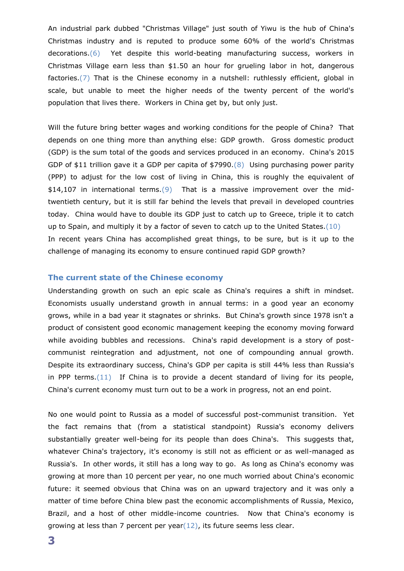An industrial park dubbed "Christmas Village" just south of Yiwu is the hub of China's Christmas industry and is reputed to produce some 60% of the world's Christmas decorations.(6) Yet despite this world-beating manufacturing success, workers in Christmas Village earn less than \$1.50 an hour for grueling labor in hot, dangerous factories.(7) That is the Chinese economy in a nutshell: ruthlessly efficient, global in scale, but unable to meet the higher needs of the twenty percent of the world's population that lives there. Workers in China get by, but only just.

Will the future bring better wages and working conditions for the people of China? That depends on one thing more than anything else: GDP growth. Gross domestic product (GDP) is the sum total of the goods and services produced in an economy. China's 2015 GDP of \$11 trillion gave it a GDP per capita of \$7990.(8) Using purchasing power parity (PPP) to adjust for the low cost of living in China, this is roughly the equivalent of \$14,107 in international terms.(9) That is a massive improvement over the midtwentieth century, but it is still far behind the levels that prevail in developed countries today. China would have to double its GDP just to catch up to Greece, triple it to catch up to Spain, and multiply it by a factor of seven to catch up to the United States.(10) In recent years China has accomplished great things, to be sure, but is it up to the challenge of managing its economy to ensure continued rapid GDP growth?

## **The current state of the Chinese economy**

Understanding growth on such an epic scale as China's requires a shift in mindset. Economists usually understand growth in annual terms: in a good year an economy grows, while in a bad year it stagnates or shrinks. But China's growth since 1978 isn't a product of consistent good economic management keeping the economy moving forward while avoiding bubbles and recessions. China's rapid development is a story of postcommunist reintegration and adjustment, not one of compounding annual growth. Despite its extraordinary success, China's GDP per capita is still 44% less than Russia's in PPP terms. $(11)$  If China is to provide a decent standard of living for its people, China's current economy must turn out to be a work in progress, not an end point.

No one would point to Russia as a model of successful post-communist transition. Yet the fact remains that (from a statistical standpoint) Russia's economy delivers substantially greater well-being for its people than does China's. This suggests that, whatever China's trajectory, it's economy is still not as efficient or as well-managed as Russia's. In other words, it still has a long way to go. As long as China's economy was growing at more than 10 percent per year, no one much worried about China's economic future: it seemed obvious that China was on an upward trajectory and it was only a matter of time before China blew past the economic accomplishments of Russia, Mexico, Brazil, and a host of other middle-income countries. Now that China's economy is growing at less than 7 percent per year $(12)$ , its future seems less clear.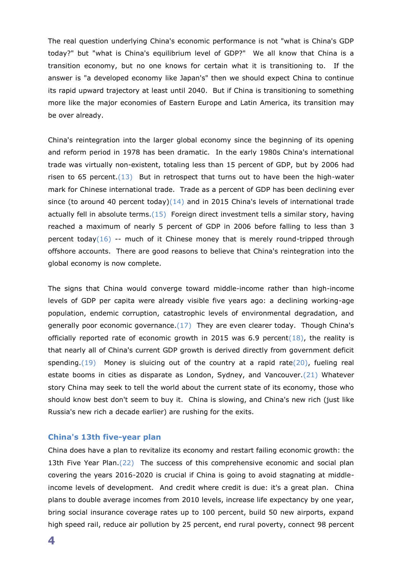The real question underlying China's economic performance is not "what is China's GDP today?" but "what is China's equilibrium level of GDP?" We all know that China is a transition economy, but no one knows for certain what it is transitioning to. If the answer is "a developed economy like Japan's" then we should expect China to continue its rapid upward trajectory at least until 2040. But if China is transitioning to something more like the major economies of Eastern Europe and Latin America, its transition may be over already.

China's reintegration into the larger global economy since the beginning of its opening and reform period in 1978 has been dramatic. In the early 1980s China's international trade was virtually non-existent, totaling less than 15 percent of GDP, but by 2006 had risen to 65 percent. $(13)$  But in retrospect that turns out to have been the high-water mark for Chinese international trade. Trade as a percent of GDP has been declining ever since (to around 40 percent today) $(14)$  and in 2015 China's levels of international trade actually fell in absolute terms.(15) Foreign direct investment tells a similar story, having reached a maximum of nearly 5 percent of GDP in 2006 before falling to less than 3 percent today( $16$ ) -- much of it Chinese money that is merely round-tripped through offshore accounts. There are good reasons to believe that China's reintegration into the global economy is now complete.

The signs that China would converge toward middle-income rather than high-income levels of GDP per capita were already visible five years ago: a declining working-age population, endemic corruption, catastrophic levels of environmental degradation, and generally poor economic governance. $(17)$  They are even clearer today. Though China's officially reported rate of economic growth in 2015 was 6.9 percent( $18$ ), the reality is that nearly all of China's current GDP growth is derived directly from government deficit spending.(19) Money is sluicing out of the country at a rapid rate( $20$ ), fueling real estate booms in cities as disparate as London, Sydney, and Vancouver.(21) Whatever story China may seek to tell the world about the current state of its economy, those who should know best don't seem to buy it. China is slowing, and China's new rich (just like Russia's new rich a decade earlier) are rushing for the exits.

#### **China's 13th five-year plan**

China does have a plan to revitalize its economy and restart failing economic growth: the 13th Five Year Plan.(22) The success of this comprehensive economic and social plan covering the years 2016-2020 is crucial if China is going to avoid stagnating at middleincome levels of development. And credit where credit is due: it's a great plan. China plans to double average incomes from 2010 levels, increase life expectancy by one year, bring social insurance coverage rates up to 100 percent, build 50 new airports, expand high speed rail, reduce air pollution by 25 percent, end rural poverty, connect 98 percent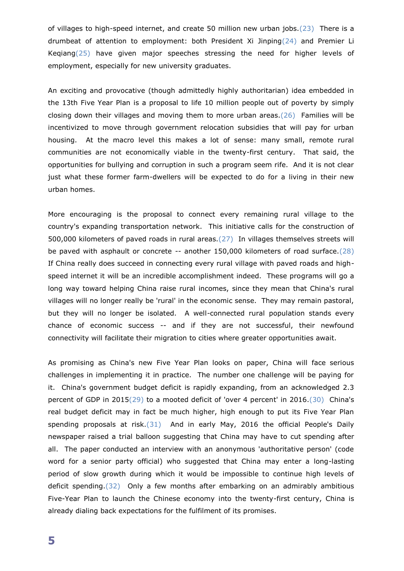of villages to high-speed internet, and create 50 million new urban jobs.(23) There is a drumbeat of attention to employment: both President Xi Jinping(24) and Premier Li Keqiang(25) have given major speeches stressing the need for higher levels of employment, especially for new university graduates.

An exciting and provocative (though admittedly highly authoritarian) idea embedded in the 13th Five Year Plan is a proposal to life 10 million people out of poverty by simply closing down their villages and moving them to more urban areas. $(26)$  Families will be incentivized to move through government relocation subsidies that will pay for urban housing. At the macro level this makes a lot of sense: many small, remote rural communities are not economically viable in the twenty-first century. That said, the opportunities for bullying and corruption in such a program seem rife. And it is not clear just what these former farm-dwellers will be expected to do for a living in their new urban homes.

More encouraging is the proposal to connect every remaining rural village to the country's expanding transportation network. This initiative calls for the construction of 500,000 kilometers of paved roads in rural areas.(27) In villages themselves streets will be paved with asphault or concrete -- another 150,000 kilometers of road surface.(28) If China really does succeed in connecting every rural village with paved roads and highspeed internet it will be an incredible accomplishment indeed. These programs will go a long way toward helping China raise rural incomes, since they mean that China's rural villages will no longer really be 'rural' in the economic sense. They may remain pastoral, but they will no longer be isolated. A well-connected rural population stands every chance of economic success -- and if they are not successful, their newfound connectivity will facilitate their migration to cities where greater opportunities await.

As promising as China's new Five Year Plan looks on paper, China will face serious challenges in implementing it in practice. The number one challenge will be paying for it. China's government budget deficit is rapidly expanding, from an acknowledged 2.3 percent of GDP in 2015(29) to a mooted deficit of 'over 4 percent' in 2016.(30) China's real budget deficit may in fact be much higher, high enough to put its Five Year Plan spending proposals at risk. $(31)$  And in early May, 2016 the official People's Daily newspaper raised a trial balloon suggesting that China may have to cut spending after all. The paper conducted an interview with an anonymous 'authoritative person' (code word for a senior party official) who suggested that China may enter a long-lasting period of slow growth during which it would be impossible to continue high levels of deficit spending.(32) Only a few months after embarking on an admirably ambitious Five-Year Plan to launch the Chinese economy into the twenty-first century, China is already dialing back expectations for the fulfilment of its promises.

**5**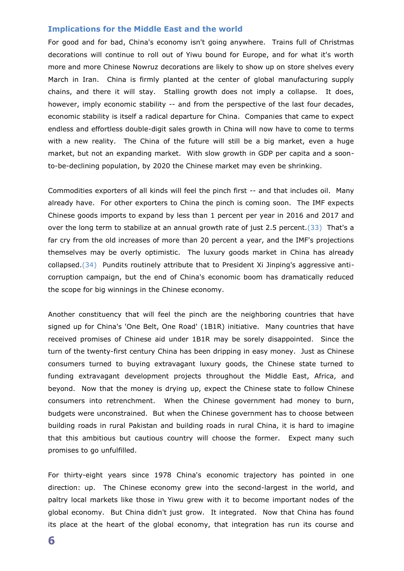#### **Implications for the Middle East and the world**

For good and for bad, China's economy isn't going anywhere. Trains full of Christmas decorations will continue to roll out of Yiwu bound for Europe, and for what it's worth more and more Chinese Nowruz decorations are likely to show up on store shelves every March in Iran. China is firmly planted at the center of global manufacturing supply chains, and there it will stay. Stalling growth does not imply a collapse. It does, however, imply economic stability -- and from the perspective of the last four decades, economic stability is itself a radical departure for China. Companies that came to expect endless and effortless double-digit sales growth in China will now have to come to terms with a new reality. The China of the future will still be a big market, even a huge market, but not an expanding market. With slow growth in GDP per capita and a soonto-be-declining population, by 2020 the Chinese market may even be shrinking.

Commodities exporters of all kinds will feel the pinch first -- and that includes oil. Many already have. For other exporters to China the pinch is coming soon. The IMF expects Chinese goods imports to expand by less than 1 percent per year in 2016 and 2017 and over the long term to stabilize at an annual growth rate of just 2.5 percent. (33) That's a far cry from the old increases of more than 20 percent a year, and the IMF's projections themselves may be overly optimistic. The luxury goods market in China has already collapsed.(34) Pundits routinely attribute that to President Xi Jinping's aggressive anticorruption campaign, but the end of China's economic boom has dramatically reduced the scope for big winnings in the Chinese economy.

Another constituency that will feel the pinch are the neighboring countries that have signed up for China's 'One Belt, One Road' (1B1R) initiative. Many countries that have received promises of Chinese aid under 1B1R may be sorely disappointed. Since the turn of the twenty-first century China has been dripping in easy money. Just as Chinese consumers turned to buying extravagant luxury goods, the Chinese state turned to funding extravagant development projects throughout the Middle East, Africa, and beyond. Now that the money is drying up, expect the Chinese state to follow Chinese consumers into retrenchment. When the Chinese government had money to burn, budgets were unconstrained. But when the Chinese government has to choose between building roads in rural Pakistan and building roads in rural China, it is hard to imagine that this ambitious but cautious country will choose the former. Expect many such promises to go unfulfilled.

For thirty-eight years since 1978 China's economic trajectory has pointed in one direction: up. The Chinese economy grew into the second-largest in the world, and paltry local markets like those in Yiwu grew with it to become important nodes of the global economy. But China didn't just grow. It integrated. Now that China has found its place at the heart of the global economy, that integration has run its course and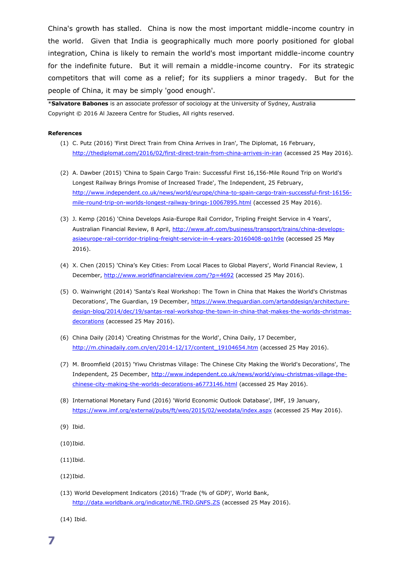China's growth has stalled. China is now the most important middle-income country in the world. Given that India is geographically much more poorly positioned for global integration, China is likely to remain the world's most important middle-income country for the indefinite future. But it will remain a middle-income country. For its strategic competitors that will come as a relief; for its suppliers a minor tragedy. But for the people of China, it may be simply 'good enough'.

\***Salvatore Babones** is an associate professor of sociology at the University of Sydney, Australia Copyright © 2016 Al Jazeera Centre for Studies, All rights reserved.

#### **References**

- (1) C. Putz (2016) 'First Direct Train from China Arrives in Iran', The Diplomat, 16 February, <http://thediplomat.com/2016/02/first-direct-train-from-china-arrives-in-iran> (accessed 25 May 2016).
- (2) A. Dawber (2015) 'China to Spain Cargo Train: Successful First 16,156-Mile Round Trip on World's Longest Railway Brings Promise of Increased Trade', The Independent, 25 February, [http://www.independent.co.uk/news/world/europe/china-to-spain-cargo-train-successful-first-16156](http://www.independent.co.uk/news/world/europe/china-to-spain-cargo-train-successful-first-16156-mile-round-trip-on-worlds-longest-railway-brings-10067895.html) [mile-round-trip-on-worlds-longest-railway-brings-10067895.html](http://www.independent.co.uk/news/world/europe/china-to-spain-cargo-train-successful-first-16156-mile-round-trip-on-worlds-longest-railway-brings-10067895.html) (accessed 25 May 2016).
- (3) J. Kemp (2016) 'China Develops Asia-Europe Rail Corridor, Tripling Freight Service in 4 Years', Australian Financial Review, 8 April, [http://www.afr.com/business/transport/trains/china-develops](http://www.afr.com/business/transport/trains/china-develops-asiaeurope-rail-corridor-tripling-freight-service-in-4-years-20160408-go1h9e)[asiaeurope-rail-corridor-tripling-freight-service-in-4-years-20160408-go1h9e](http://www.afr.com/business/transport/trains/china-develops-asiaeurope-rail-corridor-tripling-freight-service-in-4-years-20160408-go1h9e) (accessed 25 May 2016).
- (4) X. Chen (2015) 'China's Key Cities: From Local Places to Global Players', World Financial Review, 1 December,<http://www.worldfinancialreview.com/?p=4692> (accessed 25 May 2016).
- (5) O. Wainwright (2014) 'Santa's Real Workshop: The Town in China that Makes the World's Christmas Decorations', The Guardian, 19 December, [https://www.theguardian.com/artanddesign/architecture](https://www.theguardian.com/artanddesign/architecture-design-blog/2014/dec/19/santas-real-workshop-the-town-in-china-that-makes-the-worlds-christmas-decorations)[design-blog/2014/dec/19/santas-real-workshop-the-town-in-china-that-makes-the-worlds-christmas](https://www.theguardian.com/artanddesign/architecture-design-blog/2014/dec/19/santas-real-workshop-the-town-in-china-that-makes-the-worlds-christmas-decorations)[decorations](https://www.theguardian.com/artanddesign/architecture-design-blog/2014/dec/19/santas-real-workshop-the-town-in-china-that-makes-the-worlds-christmas-decorations) (accessed 25 May 2016).
- (6) China Daily (2014) 'Creating Christmas for the World', China Daily, 17 December, [http://m.chinadaily.com.cn/en/2014-12/17/content\\_19104654.htm](http://m.chinadaily.com.cn/en/2014-12/17/content_19104654.htm) (accessed 25 May 2016).
- (7) M. Broomfield (2015) 'Yiwu Christmas Village: The Chinese City Making the World's Decorations', The Independent, 25 December, [http://www.independent.co.uk/news/world/yiwu-christmas-village-the](http://www.independent.co.uk/news/world/yiwu-christmas-village-the-chinese-city-making-the-worlds-decorations-a6773146.html)[chinese-city-making-the-worlds-decorations-a6773146.html](http://www.independent.co.uk/news/world/yiwu-christmas-village-the-chinese-city-making-the-worlds-decorations-a6773146.html) (accessed 25 May 2016).
- (8) International Monetary Fund (2016) 'World Economic Outlook Database', IMF, 19 January, <https://www.imf.org/external/pubs/ft/weo/2015/02/weodata/index.aspx> (accessed 25 May 2016).
- (9) Ibid.
- (10)Ibid.

(11)Ibid.

(12)Ibid.

(13) World Development Indicators (2016) 'Trade (% of GDP)', World Bank, <http://data.worldbank.org/indicator/NE.TRD.GNFS.ZS> (accessed 25 May 2016).

(14) Ibid.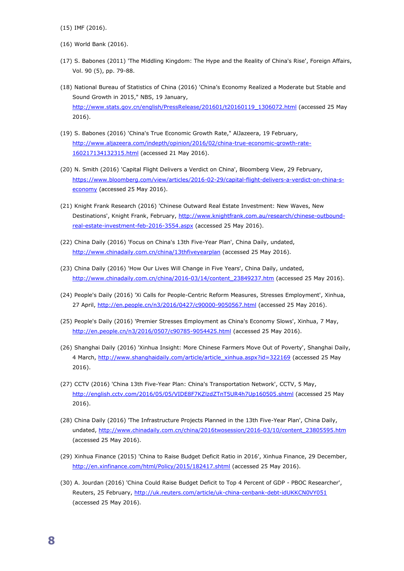(15) IMF (2016).

- (16) World Bank (2016).
- (17) S. Babones (2011) 'The Middling Kingdom: The Hype and the Reality of China's Rise', Foreign Affairs, Vol. 90 (5), pp. 79-88.
- (18) National Bureau of Statistics of China (2016) 'China's Economy Realized a Moderate but Stable and Sound Growth in 2015," NBS, 19 January, [http://www.stats.gov.cn/english/PressRelease/201601/t20160119\\_1306072.html](http://www.stats.gov.cn/english/PressRelease/201601/t20160119_1306072.html) (accessed 25 May 2016).
- (19) S. Babones (2016) 'China's True Economic Growth Rate," AlJazeera, 19 February, [http://www.aljazeera.com/indepth/opinion/2016/02/china-true-economic-growth-rate-](http://www.aljazeera.com/indepth/opinion/2016/02/china-true-economic-growth-rate-160217134132315.html)[160217134132315.html](http://www.aljazeera.com/indepth/opinion/2016/02/china-true-economic-growth-rate-160217134132315.html) (accessed 21 May 2016).
- (20) N. Smith (2016) 'Capital Flight Delivers a Verdict on China', Bloomberg View, 29 February, [https://www.bloomberg.com/view/articles/2016-02-29/capital-flight-delivers-a-verdict-on-china-s](https://www.bloomberg.com/view/articles/2016-02-29/capital-flight-delivers-a-verdict-on-china-s-economy)[economy](https://www.bloomberg.com/view/articles/2016-02-29/capital-flight-delivers-a-verdict-on-china-s-economy) (accessed 25 May 2016).
- (21) Knight Frank Research (2016) 'Chinese Outward Real Estate Investment: New Waves, New Destinations', Knight Frank, February, [http://www.knightfrank.com.au/research/chinese-outbound](http://www.knightfrank.com.au/research/chinese-outbound-real-estate-investment-feb-2016-3554.aspx)[real-estate-investment-feb-2016-3554.aspx](http://www.knightfrank.com.au/research/chinese-outbound-real-estate-investment-feb-2016-3554.aspx) (accessed 25 May 2016).
- (22) China Daily (2016) 'Focus on China's 13th Five-Year Plan', China Daily, undated, <http://www.chinadaily.com.cn/china/13thfiveyearplan> (accessed 25 May 2016).
- (23) China Daily (2016) 'How Our Lives Will Change in Five Years', China Daily, undated, [http://www.chinadaily.com.cn/china/2016-03/14/content\\_23849237.htm](http://www.chinadaily.com.cn/china/2016-03/14/content_23849237.htm) (accessed 25 May 2016).
- (24) People's Daily (2016) 'Xi Calls for People-Centric Reform Measures, Stresses Employment', Xinhua, 27 April,<http://en.people.cn/n3/2016/0427/c90000-9050567.html> (accessed 25 May 2016).
- (25) People's Daily (2016) 'Premier Stresses Employment as China's Economy Slows', Xinhua, 7 May, <http://en.people.cn/n3/2016/0507/c90785-9054425.html> (accessed 25 May 2016).
- (26) Shanghai Daily (2016) 'Xinhua Insight: More Chinese Farmers Move Out of Poverty', Shanghai Daily, 4 March, [http://www.shanghaidaily.com/article/article\\_xinhua.aspx?id=322169](http://www.shanghaidaily.com/article/article_xinhua.aspx?id=322169) (accessed 25 May 2016).
- (27) CCTV (2016) 'China 13th Five-Year Plan: China's Transportation Network', CCTV, 5 May, <http://english.cctv.com/2016/05/05/VIDE8F7KZlzdZTnT5UR4h7Up160505.shtml> (accessed 25 May 2016).
- (28) China Daily (2016) 'The Infrastructure Projects Planned in the 13th Five-Year Plan', China Daily, undated, [http://www.chinadaily.com.cn/china/2016twosession/2016-03/10/content\\_23805595.htm](http://www.chinadaily.com.cn/china/2016twosession/2016-03/10/content_23805595.htm) (accessed 25 May 2016).
- (29) Xinhua Finance (2015) 'China to Raise Budget Deficit Ratio in 2016', Xinhua Finance, 29 December, <http://en.xinfinance.com/html/Policy/2015/182417.shtml> (accessed 25 May 2016).
- (30) A. Jourdan (2016) 'China Could Raise Budget Deficit to Top 4 Percent of GDP PBOC Researcher', Reuters, 25 February,<http://uk.reuters.com/article/uk-china-cenbank-debt-idUKKCN0VY051> (accessed 25 May 2016).